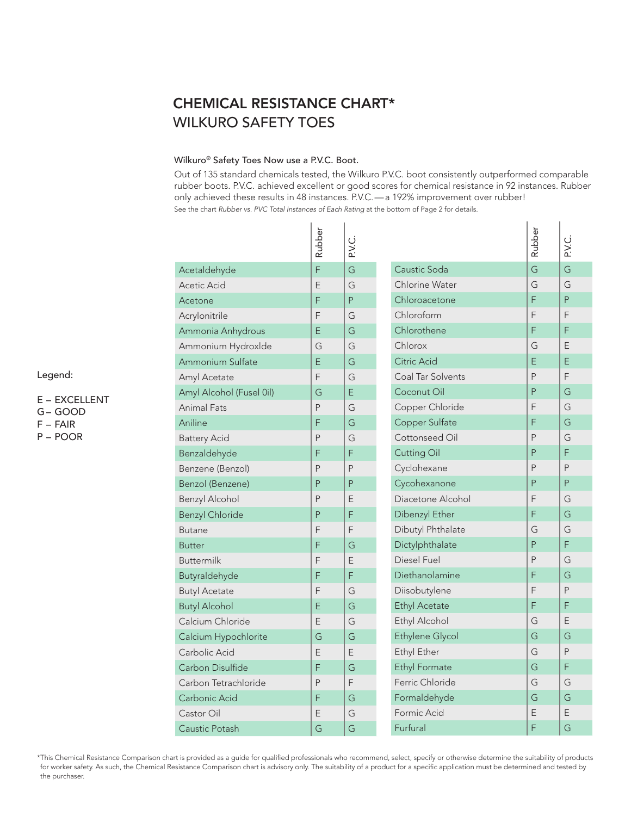## CHEMICAL RESISTANCE CHART\* WILKURO SAFETY TOES

## Wilkuro® Safety Toes Now use a P.V.C. Boot.

Out of 135 standard chemicals tested, the Wilkuro P.V.C. boot consistently outperformed comparable rubber boots. P.V.C. achieved excellent or good scores for chemical resistance in 92 instances. Rubber only achieved these results in 48 instances. P.V.C. — a 192% improvement over rubber! See the chart Rubber vs. PVC Total Instances of Each Rating at the bottom of Page 2 for details.

|                          | Rubber | ن<br>ج |
|--------------------------|--------|--------|
| Acetaldehyde             | F      | G      |
| Acetic Acid              | E      | G      |
| Acetone                  | F      | P      |
| Acrylonitrile            | F      | G      |
| Ammonia Anhydrous        | E      | G      |
| Ammonium Hydroxlde       | G      | G      |
| Ammonium Sulfate         | Ē      | G      |
| Amyl Acetate             | F      | G      |
| Amyl Alcohol (Fusel 0il) | G      | E      |
| <b>Animal Fats</b>       | P      | G      |
| Aniline                  | F      | G      |
| <b>Battery Acid</b>      | P      | G      |
| Benzaldehyde             | F      | F      |
| Benzene (Benzol)         | P      | P      |
| Benzol (Benzene)         | P      | P      |
| <b>Benzyl Alcohol</b>    | P      | Ε      |
| <b>Benzyl Chloride</b>   | P      | F      |
| <b>Butane</b>            | F      | F      |
| <b>Butter</b>            | F      | G      |
| <b>Buttermilk</b>        | F      | Ε      |
| Butyraldehyde            | F      | F      |
| <b>Butyl Acetate</b>     | F      | G      |
| <b>Butyl Alcohol</b>     | Ε      | G      |
| Calcium Chloride         | E      | G      |
| Calcium Hypochlorite     | G      | G      |
| Carbolic Acid            | E      | E      |
| Carbon Disulfide         | F      | G      |
| Carbon Tetrachloride     | P      | F      |
| Carbonic Acid            | F      | G      |
| Castor Oil               | Ε      | G      |
| Caustic Potash           | G      | G      |

|                          | Rubber | <b>P.V.C</b> |
|--------------------------|--------|--------------|
| Caustic Soda             | G      | G            |
| Chlorine Water           | G      | G            |
| Chloroacetone            | F      | P            |
| Chloroform               | F      | F            |
| Chlorothene              | F      | F            |
| Chlorox                  | G      | F            |
| Citric Acid              | E      | E            |
| <b>Coal Tar Solvents</b> | P      | F            |
| Coconut Oil              | P      | G            |
| Copper Chloride          | F      | G            |
| Copper Sulfate           | F      | G            |
| Cottonseed Oil           | P      | G            |
| <b>Cutting Oil</b>       | P      | F            |
| Cyclohexane              | P      | P            |
| Cycohexanone             | P      | P            |
| Diacetone Alcohol        | F      | G            |
| Dibenzyl Ether           | F      | G            |
| Dibutyl Phthalate        | G      | G            |
| Dictylphthalate          | P      | F            |
| Diesel Fuel              | P      | G            |
| Diethanolamine           | F      | G            |
| Diisobutylene            | F      | P            |
| <b>Ethyl Acetate</b>     | F      | F            |
| Ethyl Alcohol            | G      | E            |
| <b>Ethylene Glycol</b>   | G      | G            |
| Ethyl Ether              | G      | P            |
| <b>Ethyl Formate</b>     | G      | F            |
| Ferric Chloride          | G      | G            |
| Formaldehyde             | G      | G            |
| Formic Acid              | E      | E            |
| Furfural                 | F      | G            |

Legend:

E – EXCELLENT G – GOOD F – FAIR P – POOR

\* This Chemical Resistance Comparison chart is provided as a guide for qualified professionals who recommend, select, specify or otherwise determine the suitability of products for worker safety. As such, the Chemical Resistance Comparison chart is advisory only. The suitability of a product for a specific application must be determined and tested by the purchaser.